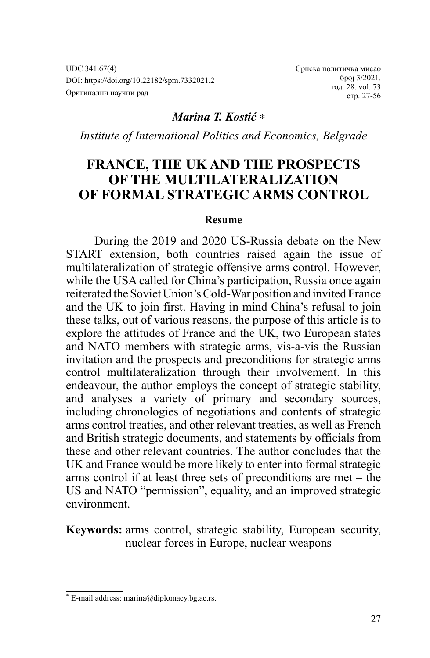UDC 341.67(4) DOI: https://doi.org/10.22182/spm.7332021.2 Оригинални научни рад

Српска политичка мисао број 3/2021. год. 28. vol. 73 стр. 27-56

## *Marina T. Kostić* ∗

*Institute of International Politics and Economics, Belgrade*

# **FRANCE, THE UK AND THE PROSPECTS OF THE MULTILATERALIZATION OF FORMAL STRATEGIC ARMS CONTROL**

#### **Resume**

During the 2019 and 2020 US-Russia debate on the New START extension, both countries raised again the issue of multilateralization of strategic offensive arms control. However, while the USA called for China's participation, Russia once again reiterated the Soviet Union's Cold-War position and invited France and the UK to join first. Having in mind China's refusal to join these talks, out of various reasons, the purpose of this article is to explore the attitudes of France and the UK, two European states and NATO members with strategic arms, vis-a-vis the Russian invitation and the prospects and preconditions for strategic arms control multilateralization through their involvement. In this endeavour, the author employs the concept of strategic stability, and analyses a variety of primary and secondary sources, including chronologies of negotiations and contents of strategic arms control treaties, and other relevant treaties, as well as French and British strategic documents, and statements by officials from these and other relevant countries. The author concludes that the UK and France would be more likely to enter into formal strategic arms control if at least three sets of preconditions are met – the US and NATO "permission", equality, and an improved strategic environment.

**Keywords:** arms control, strategic stability, European security, nuclear forces in Europe, nuclear weapons

<sup>∗</sup> E-mail address: marina@diplomacy.bg.ac.rs.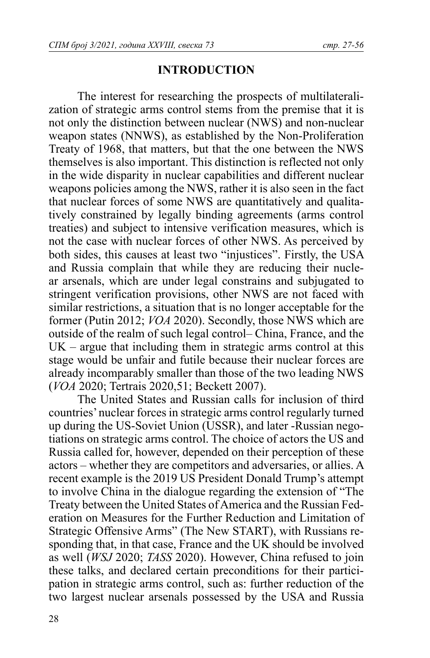# **INTRODUCTION**

The interest for researching the prospects of multilateralization of strategic arms control stems from the premise that it is not only the distinction between nuclear (NWS) and non-nuclear weapon states (NNWS), as established by the Non-Proliferation Treaty of 1968, that matters, but that the one between the NWS themselves is also important. This distinction is reflected not only in the wide disparity in nuclear capabilities and different nuclear weapons policies among the NWS, rather it is also seen in the fact that nuclear forces of some NWS are quantitatively and qualitatively constrained by legally binding agreements (arms control treaties) and subject to intensive verification measures, which is not the case with nuclear forces of other NWS. As perceived by both sides, this causes at least two "injustices". Firstly, the USA and Russia complain that while they are reducing their nuclear arsenals, which are under legal constrains and subjugated to stringent verification provisions, other NWS are not faced with similar restrictions, a situation that is no longer acceptable for the former (Putin 2012; *VOA* 2020). Secondly, those NWS which are outside of the realm of such legal control– China, France, and the UK – argue that including them in strategic arms control at this stage would be unfair and futile because their nuclear forces are already incomparably smaller than those of the two leading NWS (*VOA* 2020; Tertrais 2020,51; Beckett 2007).

The United States and Russian calls for inclusion of third countries' nuclear forces in strategic arms control regularly turned up during the US-Soviet Union (USSR), and later -Russian negotiations on strategic arms control. The choice of actors the US and Russia called for, however, depended on their perception of these actors – whether they are competitors and adversaries, or allies. A recent example is the 2019 US President Donald Trump's attempt to involve China in the dialogue regarding the extension of "The Treaty between the United States of America and the Russian Federation on Measures for the Further Reduction and Limitation of Strategic Offensive Arms" (The New START), with Russians responding that, in that case, France and the UK should be involved as well (*WSJ* 2020; *TASS* 2020). However, China refused to join these talks, and declared certain preconditions for their participation in strategic arms control, such as: further reduction of the two largest nuclear arsenals possessed by the USA and Russia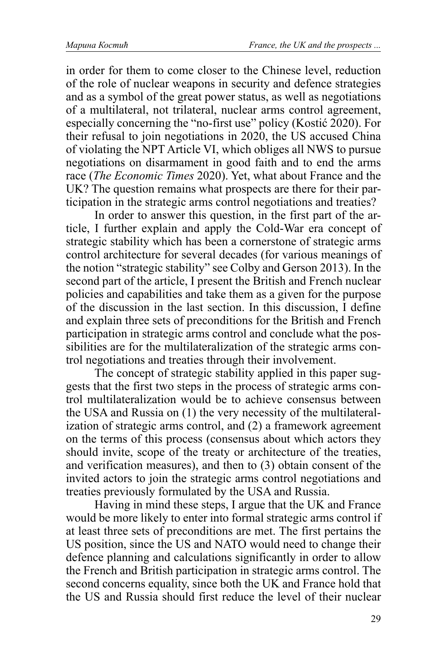in order for them to come closer to the Chinese level, reduction of the role of nuclear weapons in security and defence strategies and as a symbol of the great power status, as well as negotiations of a multilateral, not trilateral, nuclear arms control agreement, especially concerning the "no-first use" policy (Kostić 2020). For their refusal to join negotiations in 2020, the US accused China of violating the NPT Article VI, which obliges all NWS to pursue negotiations on disarmament in good faith and to end the arms race (*The Economic Times* 2020). Yet, what about France and the UK? The question remains what prospects are there for their participation in the strategic arms control negotiations and treaties?

In order to answer this question, in the first part of the article, I further explain and apply the Cold-War era concept of strategic stability which has been a cornerstone of strategic arms control architecture for several decades (for various meanings of the notion "strategic stability" see Colby and Gerson 2013). In the second part of the article, I present the British and French nuclear policies and capabilities and take them as a given for the purpose of the discussion in the last section. In this discussion, I define and explain three sets of preconditions for the British and French participation in strategic arms control and conclude what the possibilities are for the multilateralization of the strategic arms control negotiations and treaties through their involvement.

The concept of strategic stability applied in this paper suggests that the first two steps in the process of strategic arms control multilateralization would be to achieve consensus between the USA and Russia on (1) the very necessity of the multilateralization of strategic arms control, and (2) a framework agreement on the terms of this process (consensus about which actors they should invite, scope of the treaty or architecture of the treaties, and verification measures), and then to (3) obtain consent of the invited actors to join the strategic arms control negotiations and treaties previously formulated by the USA and Russia.

Having in mind these steps, I argue that the UK and France would be more likely to enter into formal strategic arms control if at least three sets of preconditions are met. The first pertains the US position, since the US and NATO would need to change their defence planning and calculations significantly in order to allow the French and British participation in strategic arms control. The second concerns equality, since both the UK and France hold that the US and Russia should first reduce the level of their nuclear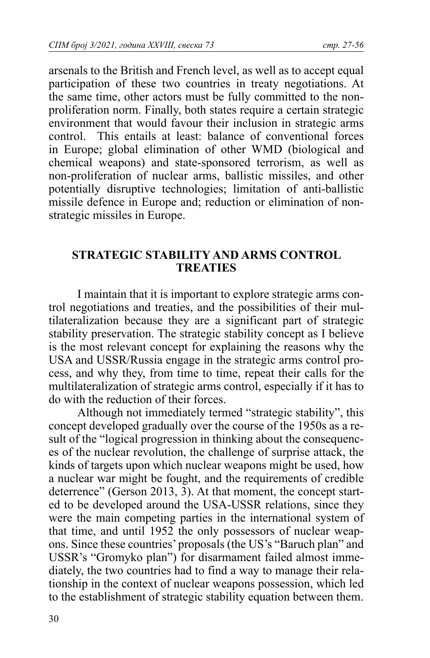arsenals to the British and French level, as well as to accept equal participation of these two countries in treaty negotiations. At the same time, other actors must be fully committed to the nonproliferation norm. Finally, both states require a certain strategic environment that would favour their inclusion in strategic arms control. This entails at least: balance of conventional forces in Europe; global elimination of other WMD (biological and chemical weapons) and state-sponsored terrorism, as well as non-proliferation of nuclear arms, ballistic missiles, and other potentially disruptive technologies; limitation of anti-ballistic missile defence in Europe and; reduction or elimination of nonstrategic missiles in Europe.

### **STRATEGIC STABILITY AND ARMS CONTROL TREATIES**

I maintain that it is important to explore strategic arms control negotiations and treaties, and the possibilities of their multilateralization because they are a significant part of strategic stability preservation. The strategic stability concept as I believe is the most relevant concept for explaining the reasons why the USA and USSR/Russia engage in the strategic arms control process, and why they, from time to time, repeat their calls for the multilateralization of strategic arms control, especially if it has to do with the reduction of their forces.

Although not immediately termed "strategic stability", this concept developed gradually over the course of the 1950s as a result of the "logical progression in thinking about the consequences of the nuclear revolution, the challenge of surprise attack, the kinds of targets upon which nuclear weapons might be used, how a nuclear war might be fought, and the requirements of credible deterrence" (Gerson 2013, 3). At that moment, the concept started to be developed around the USA-USSR relations, since they were the main competing parties in the international system of that time, and until 1952 the only possessors of nuclear weapons. Since these countries' proposals (the US's "Baruch plan" and USSR's "Gromyko plan") for disarmament failed almost immediately, the two countries had to find a way to manage their relationship in the context of nuclear weapons possession, which led to the establishment of strategic stability equation between them.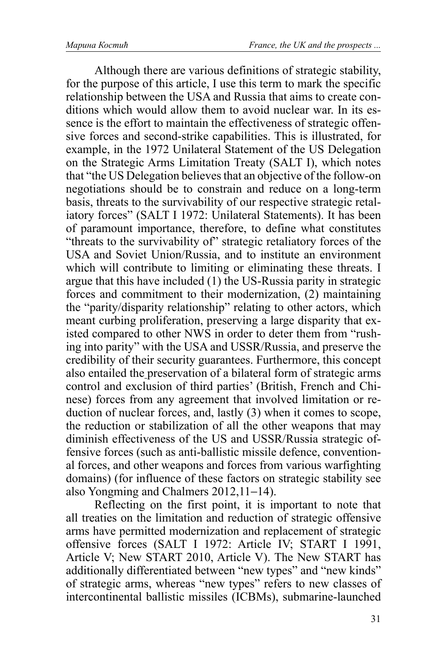Although there are various definitions of strategic stability, for the purpose of this article, I use this term to mark the specific relationship between the USA and Russia that aims to create conditions which would allow them to avoid nuclear war. In its essence is the effort to maintain the effectiveness of strategic offensive forces and second-strike capabilities. This is illustrated, for example, in the 1972 Unilateral Statement of the US Delegation on the Strategic Arms Limitation Treaty (SALT I), which notes that "the US Delegation believes that an objective of the follow-on negotiations should be to constrain and reduce on a long-term basis, threats to the survivability of our respective strategic retaliatory forces" (SALT I 1972: Unilateral Statements). It has been of paramount importance, therefore, to define what constitutes "threats to the survivability of" strategic retaliatory forces of the USA and Soviet Union/Russia, and to institute an environment which will contribute to limiting or eliminating these threats. I argue that this have included (1) the US-Russia parity in strategic forces and commitment to their modernization, (2) maintaining the "parity/disparity relationship" relating to other actors, which meant curbing proliferation, preserving a large disparity that existed compared to other NWS in order to deter them from "rushing into parity" with the USA and USSR/Russia, and preserve the credibility of their security guarantees. Furthermore, this concept also entailed the preservation of a bilateral form of strategic arms control and exclusion of third parties' (British, French and Chinese) forces from any agreement that involved limitation or reduction of nuclear forces, and, lastly (3) when it comes to scope, the reduction or stabilization of all the other weapons that may diminish effectiveness of the US and USSR/Russia strategic offensive forces (such as anti-ballistic missile defence, conventional forces, and other weapons and forces from various warfighting domains) (for influence of these factors on strategic stability see also Yongming and Chalmers 2012,11−14).

Reflecting on the first point, it is important to note that all treaties on the limitation and reduction of strategic offensive arms have permitted modernization and replacement of strategic offensive forces (SALT I 1972: Article IV; START I 1991, Article V; New START 2010, Article V). The New START has additionally differentiated between "new types" and "new kinds" of strategic arms, whereas "new types" refers to new classes of intercontinental ballistic missiles (ICBMs), submarine-launched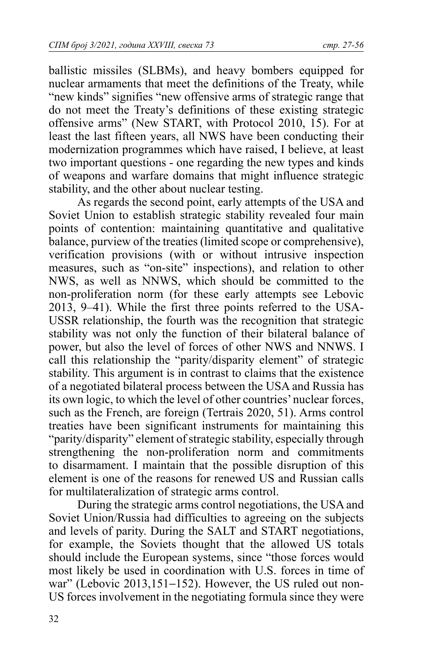ballistic missiles (SLBMs), and heavy bombers equipped for nuclear armaments that meet the definitions of the Treaty, while "new kinds" signifies "new offensive arms of strategic range that do not meet the Treaty's definitions of these existing strategic offensive arms" (New START, with Protocol 2010, 15). For at least the last fifteen years, all NWS have been conducting their modernization programmes which have raised, I believe, at least two important questions - one regarding the new types and kinds of weapons and warfare domains that might influence strategic stability, and the other about nuclear testing.

As regards the second point, early attempts of the USA and Soviet Union to establish strategic stability revealed four main points of contention: maintaining quantitative and qualitative balance, purview of the treaties (limited scope or comprehensive), verification provisions (with or without intrusive inspection measures, such as "on-site" inspections), and relation to other NWS, as well as NNWS, which should be committed to the non-proliferation norm (for these early attempts see Lebovic 2013, 9–41). While the first three points referred to the USA-USSR relationship, the fourth was the recognition that strategic stability was not only the function of their bilateral balance of power, but also the level of forces of other NWS and NNWS. I call this relationship the "parity/disparity element" of strategic stability. This argument is in contrast to claims that the existence of a negotiated bilateral process between the USA and Russia has its own logic, to which the level of other countries' nuclear forces, such as the French, are foreign (Tertrais 2020, 51). Arms control treaties have been significant instruments for maintaining this "parity/disparity" element of strategic stability, especially through strengthening the non-proliferation norm and commitments to disarmament. I maintain that the possible disruption of this element is one of the reasons for renewed US and Russian calls for multilateralization of strategic arms control.

During the strategic arms control negotiations, the USA and Soviet Union/Russia had difficulties to agreeing on the subjects and levels of parity. During the SALT and START negotiations, for example, the Soviets thought that the allowed US totals should include the European systems, since "those forces would most likely be used in coordination with U.S. forces in time of war" (Lebovic 2013,151−152). However, the US ruled out non-US forces involvement in the negotiating formula since they were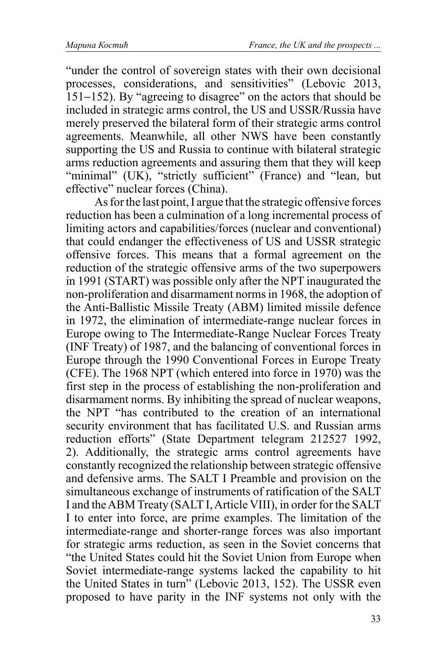"under the control of sovereign states with their own decisional processes, considerations, and sensitivities" (Lebovic 2013, 151−152). By "agreeing to disagree" on the actors that should be included in strategic arms control, the US and USSR/Russia have merely preserved the bilateral form of their strategic arms control agreements. Meanwhile, all other NWS have been constantly supporting the US and Russia to continue with bilateral strategic arms reduction agreements and assuring them that they will keep "minimal" (UK), "strictly sufficient" (France) and "lean, but effective" nuclear forces (China).

As for the last point, I argue that the strategic offensive forces reduction has been a culmination of a long incremental process of limiting actors and capabilities/forces (nuclear and conventional) that could endanger the effectiveness of US and USSR strategic offensive forces. This means that a formal agreement on the reduction of the strategic offensive arms of the two superpowers in 1991 (START) was possible only after the NPT inaugurated the non-proliferation and disarmament norms in 1968, the adoption of the Anti-Ballistic Missile Treaty (ABM) limited missile defence in 1972, the elimination of intermediate-range nuclear forces in Europe owing to The Intermediate-Range Nuclear Forces Treaty (INF Treaty) of 1987, and the balancing of conventional forces in Europe through the 1990 Conventional Forces in Europe Treaty (CFE). The 1968 NPT (which entered into force in 1970) was the first step in the process of establishing the non-proliferation and disarmament norms. By inhibiting the spread of nuclear weapons, the NPT "has contributed to the creation of an international security environment that has facilitated U.S. and Russian arms reduction efforts" (State Department telegram 212527 1992, 2). Additionally, the strategic arms control agreements have constantly recognized the relationship between strategic offensive and defensive arms. The SALT I Preamble and provision on the simultaneous exchange of instruments of ratification of the SALT I and the ABM Treaty (SALT I, Article VIII), in order for the SALT I to enter into force, are prime examples. The limitation of the intermediate-range and shorter-range forces was also important for strategic arms reduction, as seen in the Soviet concerns that "the United States could hit the Soviet Union from Europe when Soviet intermediate-range systems lacked the capability to hit the United States in turn" (Lebovic 2013, 152). The USSR even proposed to have parity in the INF systems not only with the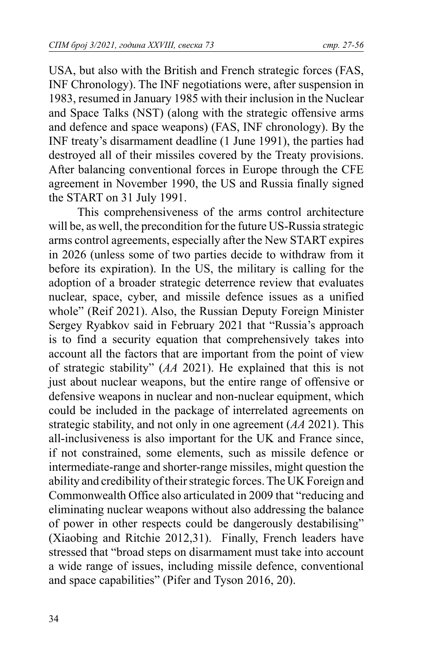USA, but also with the British and French strategic forces (FAS, INF Chronology). The INF negotiations were, after suspension in 1983, resumed in January 1985 with their inclusion in the Nuclear and Space Talks (NST) (along with the strategic offensive arms and defence and space weapons) (FAS, INF chronology). By the INF treaty's disarmament deadline (1 June 1991), the parties had destroyed all of their missiles covered by the Treaty provisions. After balancing conventional forces in Europe through the CFE agreement in November 1990, the US and Russia finally signed the START on 31 July 1991.

This comprehensiveness of the arms control architecture will be, as well, the precondition for the future US-Russia strategic arms control agreements, especially after the New START expires in 2026 (unless some of two parties decide to withdraw from it before its expiration). In the US, the military is calling for the adoption of a broader strategic deterrence review that evaluates nuclear, space, cyber, and missile defence issues as a unified whole" (Reif 2021). Also, the Russian Deputy Foreign Minister Sergey Ryabkov said in February 2021 that "Russia's approach is to find a security equation that comprehensively takes into account all the factors that are important from the point of view of strategic stability" (*AA* 2021). He explained that this is not just about nuclear weapons, but the entire range of offensive or defensive weapons in nuclear and non-nuclear equipment, which could be included in the package of interrelated agreements on strategic stability, and not only in one agreement (*AA* 2021). This all-inclusiveness is also important for the UK and France since, if not constrained, some elements, such as missile defence or intermediate-range and shorter-range missiles, might question the ability and credibility of their strategic forces. The UK Foreign and Commonwealth Office also articulated in 2009 that "reducing and eliminating nuclear weapons without also addressing the balance of power in other respects could be dangerously destabilising" (Xiaobing and Ritchie 2012,31). Finally, French leaders have stressed that "broad steps on disarmament must take into account a wide range of issues, including missile defence, conventional and space capabilities" (Pifer and Tyson 2016, 20).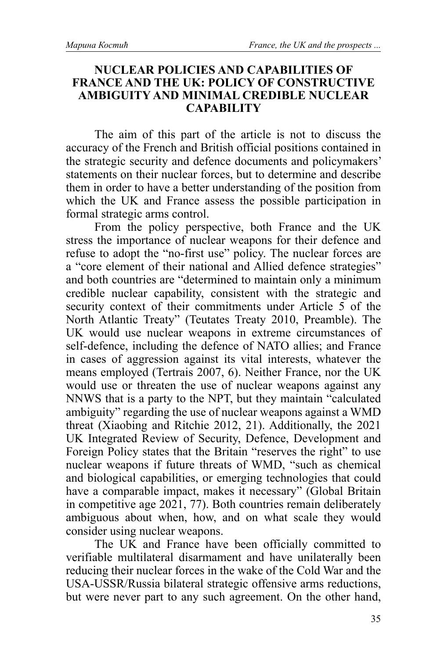### **NUCLEAR POLICIES AND CAPABILITIES OF FRANCE AND THE UK: POLICY OF CONSTRUCTIVE AMBIGUITY AND MINIMAL CREDIBLE NUCLEAR CAPABILITY**

The aim of this part of the article is not to discuss the accuracy of the French and British official positions contained in the strategic security and defence documents and policymakers' statements on their nuclear forces, but to determine and describe them in order to have a better understanding of the position from which the UK and France assess the possible participation in formal strategic arms control.

From the policy perspective, both France and the UK stress the importance of nuclear weapons for their defence and refuse to adopt the "no-first use" policy. The nuclear forces are a "core element of their national and Allied defence strategies" and both countries are "determined to maintain only a minimum credible nuclear capability, consistent with the strategic and security context of their commitments under Article 5 of the North Atlantic Treaty" (Teutates Treaty 2010, Preamble). The UK would use nuclear weapons in extreme circumstances of self-defence, including the defence of NATO allies; and France in cases of aggression against its vital interests, whatever the means employed (Tertrais 2007, 6). Neither France, nor the UK would use or threaten the use of nuclear weapons against any NNWS that is a party to the NPT, but they maintain "calculated ambiguity" regarding the use of nuclear weapons against a WMD threat (Xiaobing and Ritchie 2012, 21). Additionally, the 2021 UK Integrated Review of Security, Defence, Development and Foreign Policy states that the Britain "reserves the right" to use nuclear weapons if future threats of WMD, "such as chemical and biological capabilities, or emerging technologies that could have a comparable impact, makes it necessary" (Global Britain in competitive age 2021, 77). Both countries remain deliberately ambiguous about when, how, and on what scale they would consider using nuclear weapons.

The UK and France have been officially committed to verifiable multilateral disarmament and have unilaterally been reducing their nuclear forces in the wake of the Cold War and the USA-USSR/Russia bilateral strategic offensive arms reductions, but were never part to any such agreement. On the other hand,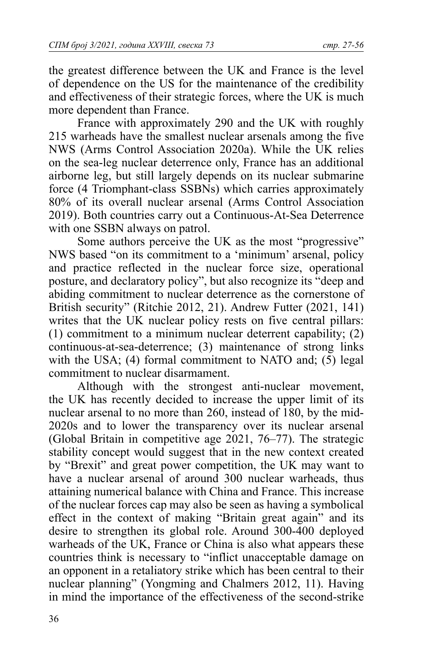the greatest difference between the UK and France is the level of dependence on the US for the maintenance of the credibility and effectiveness of their strategic forces, where the UK is much more dependent than France.

France with approximately 290 and the UK with roughly 215 warheads have the smallest nuclear arsenals among the five NWS (Arms Control Association 2020a). While the UK relies on the sea-leg nuclear deterrence only, France has an additional airborne leg, but still largely depends on its nuclear submarine force (4 Triomphant-class SSBNs) which carries approximately 80% of its overall nuclear arsenal (Arms Control Association 2019). Both countries carry out a Continuous-At-Sea Deterrence with one SSBN always on patrol.

Some authors perceive the UK as the most "progressive" NWS based "on its commitment to a 'minimum' arsenal, policy and practice reflected in the nuclear force size, operational posture, and declaratory policy", but also recognize its "deep and abiding commitment to nuclear deterrence as the cornerstone of British security" (Ritchie 2012, 21). Andrew Futter (2021, 141) writes that the UK nuclear policy rests on five central pillars: (1) commitment to a minimum nuclear deterrent capability; (2) continuous-at-sea-deterrence; (3) maintenance of strong links with the USA; (4) formal commitment to NATO and; (5) legal commitment to nuclear disarmament.

Although with the strongest anti-nuclear movement, the UK has recently decided to increase the upper limit of its nuclear arsenal to no more than 260, instead of 180, by the mid-2020s and to lower the transparency over its nuclear arsenal (Global Britain in competitive age 2021, 76–77). The strategic stability concept would suggest that in the new context created by "Brexit" and great power competition, the UK may want to have a nuclear arsenal of around 300 nuclear warheads, thus attaining numerical balance with China and France. This increase of the nuclear forces cap may also be seen as having a symbolical effect in the context of making "Britain great again" and its desire to strengthen its global role. Around 300-400 deployed warheads of the UK, France or China is also what appears these countries think is necessary to "inflict unacceptable damage on an opponent in a retaliatory strike which has been central to their nuclear planning" (Yongming and Chalmers 2012, 11). Having in mind the importance of the effectiveness of the second-strike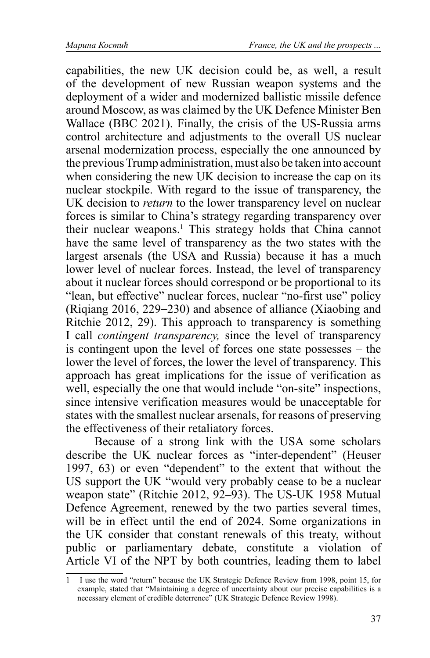capabilities, the new UK decision could be, as well, a result of the development of new Russian weapon systems and the deployment of a wider and modernized ballistic missile defence around Moscow, as was claimed by the UK Defence Minister Ben Wallace (BBC 2021). Finally, the crisis of the US-Russia arms control architecture and adjustments to the overall US nuclear arsenal modernization process, especially the one announced by the previous Trump administration, must also be taken into account when considering the new UK decision to increase the cap on its nuclear stockpile. With regard to the issue of transparency, the UK decision to *return* to the lower transparency level on nuclear forces is similar to China's strategy regarding transparency over their nuclear weapons.<sup>1</sup> This strategy holds that China cannot have the same level of transparency as the two states with the largest arsenals (the USA and Russia) because it has a much lower level of nuclear forces. Instead, the level of transparency about it nuclear forces should correspond or be proportional to its "lean, but effective" nuclear forces, nuclear "no-first use" policy (Riqiang 2016, 229−230) and absence of alliance (Xiaobing and Ritchie 2012, 29). This approach to transparency is something I call *contingent transparency,* since the level of transparency is contingent upon the level of forces one state possesses – the lower the level of forces, the lower the level of transparency. This approach has great implications for the issue of verification as well, especially the one that would include "on-site" inspections, since intensive verification measures would be unacceptable for states with the smallest nuclear arsenals, for reasons of preserving the effectiveness of their retaliatory forces.

Because of a strong link with the USA some scholars describe the UK nuclear forces as "inter-dependent" (Heuser 1997, 63) or even "dependent" to the extent that without the US support the UK "would very probably cease to be a nuclear weapon state" (Ritchie 2012, 92–93). The US-UK 1958 Mutual Defence Agreement, renewed by the two parties several times, will be in effect until the end of 2024. Some organizations in the UK consider that constant renewals of this treaty, without public or parliamentary debate, constitute a violation of Article VI of the NPT by both countries, leading them to label

<sup>1</sup> I use the word "return" because the UK Strategic Defence Review from 1998, point 15, for example, stated that "Maintaining a degree of uncertainty about our precise capabilities is a necessary element of credible deterrence" (UK Strategic Defence Review 1998).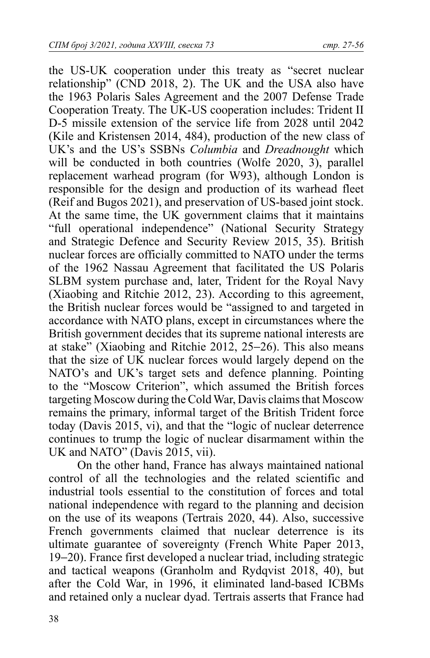the US-UK cooperation under this treaty as "secret nuclear relationship" (CND 2018, 2). The UK and the USA also have the 1963 Polaris Sales Agreement and the 2007 Defense Trade Cooperation Treaty. The UK-US cooperation includes: Trident II D-5 missile extension of the service life from 2028 until 2042 (Kile and Kristensen 2014, 484), production of the new class of UK's and the US's SSBNs *Columbia* and *Dreadnought* which will be conducted in both countries (Wolfe 2020, 3), parallel replacement warhead program (for W93), although London is responsible for the design and production of its warhead fleet (Reif and Bugos 2021), and preservation of US-based joint stock. At the same time, the UK government claims that it maintains "full operational independence" (National Security Strategy and Strategic Defence and Security Review 2015, 35). British nuclear forces are officially committed to NATO under the terms of the 1962 Nassau Agreement that facilitated the US Polaris SLBM system purchase and, later, Trident for the Royal Navy (Xiaobing and Ritchie 2012, 23). According to this agreement, the British nuclear forces would be "assigned to and targeted in accordance with NATO plans, except in circumstances where the British government decides that its supreme national interests are at stake" (Xiaobing and Ritchie 2012, 25−26). This also means that the size of UK nuclear forces would largely depend on the NATO's and UK's target sets and defence planning. Pointing to the "Moscow Criterion", which assumed the British forces targeting Moscow during the Cold War, Davis claims that Moscow remains the primary, informal target of the British Trident force today (Davis 2015, vi), and that the "logic of nuclear deterrence continues to trump the logic of nuclear disarmament within the UK and NATO" (Davis 2015, vii).

On the other hand, France has always maintained national control of all the technologies and the related scientific and industrial tools essential to the constitution of forces and total national independence with regard to the planning and decision on the use of its weapons (Tertrais 2020, 44). Also, successive French governments claimed that nuclear deterrence is its ultimate guarantee of sovereignty (French White Paper 2013, 19−20). France first developed a nuclear triad, including strategic and tactical weapons (Granholm and Rydqvist 2018, 40), but after the Cold War, in 1996, it eliminated land-based ICBMs and retained only a nuclear dyad. Tertrais asserts that France had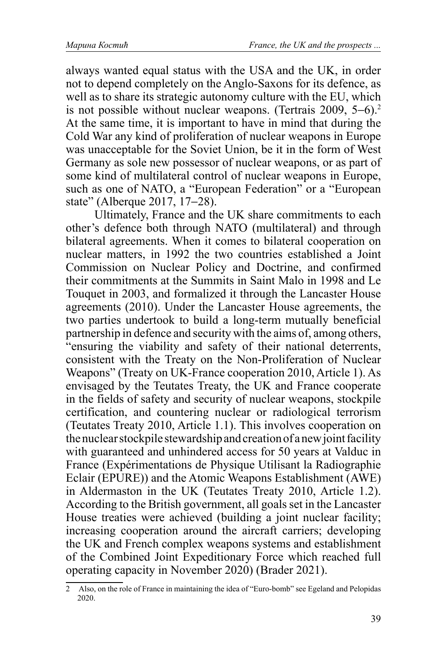always wanted equal status with the USA and the UK, in order not to depend completely on the Anglo-Saxons for its defence, as well as to share its strategic autonomy culture with the EU, which is not possible without nuclear weapons. (Tertrais 2009, 5−6).2 At the same time, it is important to have in mind that during the Cold War any kind of proliferation of nuclear weapons in Europe was unacceptable for the Soviet Union, be it in the form of West Germany as sole new possessor of nuclear weapons, or as part of some kind of multilateral control of nuclear weapons in Europe, such as one of NATO, a "European Federation" or a "European state" (Alberque 2017, 17−28).

Ultimately, France and the UK share commitments to each other's defence both through NATO (multilateral) and through bilateral agreements. When it comes to bilateral cooperation on nuclear matters, in 1992 the two countries established a Joint Commission on Nuclear Policy and Doctrine, and confirmed their commitments at the Summits in Saint Malo in 1998 and Le Touquet in 2003, and formalized it through the Lancaster House agreements (2010). Under the Lancaster House agreements, the two parties undertook to build a long-term mutually beneficial partnership in defence and security with the aims of, among others, "ensuring the viability and safety of their national deterrents, consistent with the Treaty on the Non-Proliferation of Nuclear Weapons" (Treaty on UK-France cooperation 2010, Article 1). As envisaged by the Teutates Treaty, the UK and France cooperate in the fields of safety and security of nuclear weapons, stockpile certification, and countering nuclear or radiological terrorism (Teutates Treaty 2010, Article 1.1). This involves cooperation on the nuclear stockpile stewardship and creation of a new joint facility with guaranteed and unhindered access for 50 years at Valduc in France (Expérimentations de Physique Utilisant la Radiographie Eclair (EPURE)) and the Atomic Weapons Establishment (AWE) in Aldermaston in the UK (Teutates Treaty 2010, Article 1.2). According to the British government, all goals set in the Lancaster House treaties were achieved (building a joint nuclear facility; increasing cooperation around the aircraft carriers; developing the UK and French complex weapons systems and establishment of the Combined Joint Expeditionary Force which reached full operating capacity in November 2020) (Brader 2021).

<sup>2</sup> Also, on the role of France in maintaining the idea of "Euro-bomb" see Egeland and Pelopidas 2020.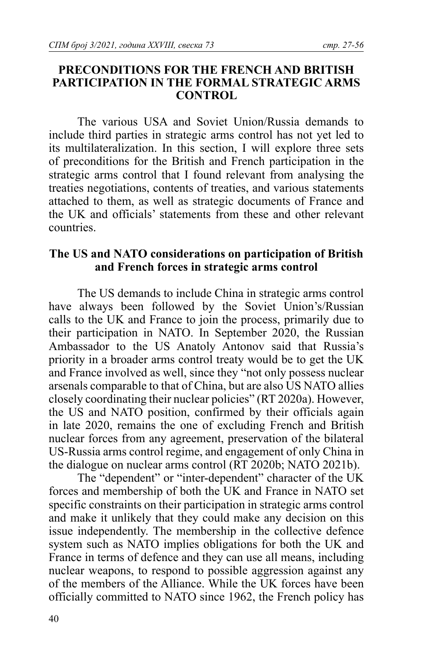### **PRECONDITIONS FOR THE FRENCH AND BRITISH PARTICIPATION IN THE FORMAL STRATEGIC ARMS CONTROL**

The various USA and Soviet Union/Russia demands to include third parties in strategic arms control has not yet led to its multilateralization. In this section, I will explore three sets of preconditions for the British and French participation in the strategic arms control that I found relevant from analysing the treaties negotiations, contents of treaties, and various statements attached to them, as well as strategic documents of France and the UK and officials' statements from these and other relevant countries.

## **The US and NATO considerations on participation of British and French forces in strategic arms control**

The US demands to include China in strategic arms control have always been followed by the Soviet Union's/Russian calls to the UK and France to join the process, primarily due to their participation in NATO. In September 2020, the Russian Ambassador to the US Anatoly Antonov said that Russia's priority in a broader arms control treaty would be to get the UK and France involved as well, since they "not only possess nuclear arsenals comparable to that of China, but are also US NATO allies closely coordinating their nuclear policies" (RT 2020a). However, the US and NATO position, confirmed by their officials again in late 2020, remains the one of excluding French and British nuclear forces from any agreement, preservation of the bilateral US-Russia arms control regime, and engagement of only China in the dialogue on nuclear arms control (RT 2020b; NATO 2021b).

The "dependent" or "inter-dependent" character of the UK forces and membership of both the UK and France in NATO set specific constraints on their participation in strategic arms control and make it unlikely that they could make any decision on this issue independently. The membership in the collective defence system such as NATO implies obligations for both the UK and France in terms of defence and they can use all means, including nuclear weapons, to respond to possible aggression against any of the members of the Alliance. While the UK forces have been officially committed to NATO since 1962, the French policy has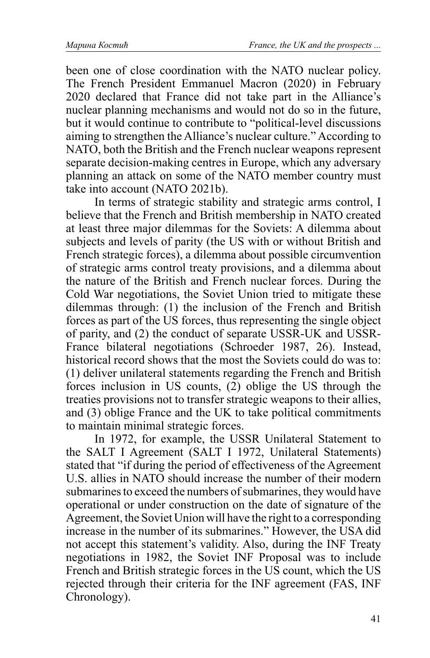been one of close coordination with the NATO nuclear policy. The French President Emmanuel Macron (2020) in February 2020 declared that France did not take part in the Alliance's nuclear planning mechanisms and would not do so in the future, but it would continue to contribute to "political-level discussions aiming to strengthen the Alliance's nuclear culture." According to NATO, both the British and the French nuclear weapons represent separate decision-making centres in Europe, which any adversary planning an attack on some of the NATO member country must take into account (NATO 2021b).

In terms of strategic stability and strategic arms control, I believe that the French and British membership in NATO created at least three major dilemmas for the Soviets: A dilemma about subjects and levels of parity (the US with or without British and French strategic forces), a dilemma about possible circumvention of strategic arms control treaty provisions, and a dilemma about the nature of the British and French nuclear forces. During the Cold War negotiations, the Soviet Union tried to mitigate these dilemmas through: (1) the inclusion of the French and British forces as part of the US forces, thus representing the single object of parity, and (2) the conduct of separate USSR-UK and USSR-France bilateral negotiations (Schroeder 1987, 26). Instead, historical record shows that the most the Soviets could do was to: (1) deliver unilateral statements regarding the French and British forces inclusion in US counts, (2) oblige the US through the treaties provisions not to transfer strategic weapons to their allies, and (3) oblige France and the UK to take political commitments to maintain minimal strategic forces.

In 1972, for example, the USSR Unilateral Statement to the SALT I Agreement (SALT I 1972, Unilateral Statements) stated that "if during the period of effectiveness of the Agreement U.S. allies in NATO should increase the number of their modern submarines to exceed the numbers of submarines, they would have operational or under construction on the date of signature of the Agreement, the Soviet Union will have the right to a corresponding increase in the number of its submarines." However, the USA did not accept this statement's validity. Also, during the INF Treaty negotiations in 1982, the Soviet INF Proposal was to include French and British strategic forces in the US count, which the US rejected through their criteria for the INF agreement (FAS, INF Chronology).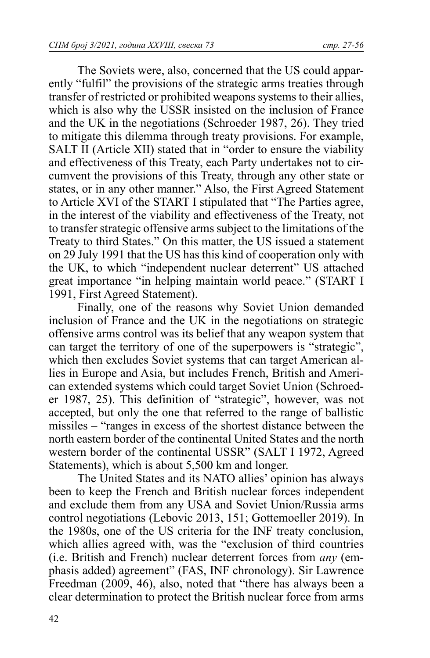The Soviets were, also, concerned that the US could apparently "fulfil" the provisions of the strategic arms treaties through transfer of restricted or prohibited weapons systems to their allies, which is also why the USSR insisted on the inclusion of France and the UK in the negotiations (Schroeder 1987, 26). They tried to mitigate this dilemma through treaty provisions. For example, SALT II (Article XII) stated that in "order to ensure the viability and effectiveness of this Treaty, each Party undertakes not to circumvent the provisions of this Treaty, through any other state or states, or in any other manner." Also, the First Agreed Statement to Article XVI of the START I stipulated that "The Parties agree, in the interest of the viability and effectiveness of the Treaty, not to transfer strategic offensive arms subject to the limitations of the Treaty to third States." On this matter, the US issued a statement on 29 July 1991 that the US has this kind of cooperation only with the UK, to which "independent nuclear deterrent" US attached great importance "in helping maintain world peace." (START I 1991, First Agreed Statement).

Finally, one of the reasons why Soviet Union demanded inclusion of France and the UK in the negotiations on strategic offensive arms control was its belief that any weapon system that can target the territory of one of the superpowers is "strategic", which then excludes Soviet systems that can target American allies in Europe and Asia, but includes French, British and American extended systems which could target Soviet Union (Schroeder 1987, 25). This definition of "strategic", however, was not accepted, but only the one that referred to the range of ballistic missiles – "ranges in excess of the shortest distance between the north eastern border of the continental United States and the north western border of the continental USSR" (SALT I 1972, Agreed Statements), which is about 5,500 km and longer.

The United States and its NATO allies' opinion has always been to keep the French and British nuclear forces independent and exclude them from any USA and Soviet Union/Russia arms control negotiations (Lebovic 2013, 151; Gottemoeller 2019). In the 1980s, one of the US criteria for the INF treaty conclusion, which allies agreed with, was the "exclusion of third countries (i.e. British and French) nuclear deterrent forces from *any* (emphasis added) agreement" (FAS, INF chronology). Sir Lawrence Freedman (2009, 46), also, noted that "there has always been a clear determination to protect the British nuclear force from arms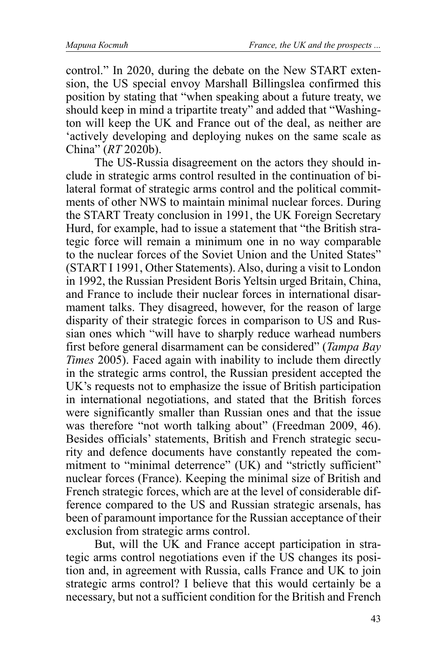control." In 2020, during the debate on the New START extension, the US special envoy Marshall Billingslea confirmed this position by stating that "when speaking about a future treaty, we should keep in mind a tripartite treaty" and added that "Washington will keep the UK and France out of the deal, as neither are 'actively developing and deploying nukes on the same scale as China" (*RT* 2020b).

The US-Russia disagreement on the actors they should include in strategic arms control resulted in the continuation of bilateral format of strategic arms control and the political commitments of other NWS to maintain minimal nuclear forces. During the START Treaty conclusion in 1991, the UK Foreign Secretary Hurd, for example, had to issue a statement that "the British strategic force will remain a minimum one in no way comparable to the nuclear forces of the Soviet Union and the United States" (START I 1991, Other Statements). Also, during a visit to London in 1992, the Russian President Boris Yeltsin urged Britain, China, and France to include their nuclear forces in international disarmament talks. They disagreed, however, for the reason of large disparity of their strategic forces in comparison to US and Russian ones which "will have to sharply reduce warhead numbers first before general disarmament can be considered" (*Tampa Bay Times* 2005). Faced again with inability to include them directly in the strategic arms control, the Russian president accepted the UK's requests not to emphasize the issue of British participation in international negotiations, and stated that the British forces were significantly smaller than Russian ones and that the issue was therefore "not worth talking about" (Freedman 2009, 46). Besides officials' statements, British and French strategic security and defence documents have constantly repeated the commitment to "minimal deterrence" (UK) and "strictly sufficient" nuclear forces (France). Keeping the minimal size of British and French strategic forces, which are at the level of considerable difference compared to the US and Russian strategic arsenals, has been of paramount importance for the Russian acceptance of their exclusion from strategic arms control.

But, will the UK and France accept participation in strategic arms control negotiations even if the US changes its position and, in agreement with Russia, calls France and UK to join strategic arms control? I believe that this would certainly be a necessary, but not a sufficient condition for the British and French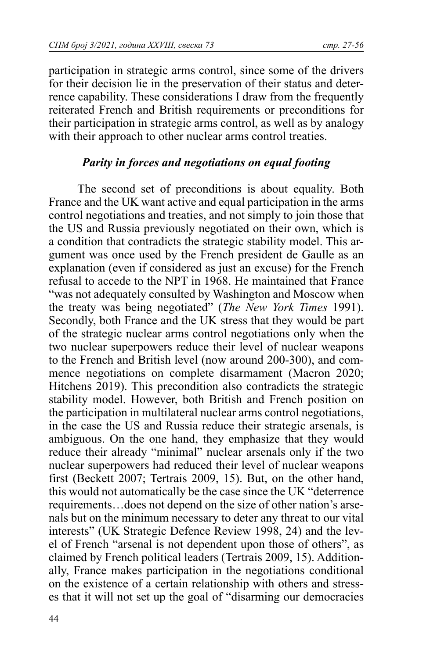participation in strategic arms control, since some of the drivers for their decision lie in the preservation of their status and deterrence capability. These considerations I draw from the frequently reiterated French and British requirements or preconditions for their participation in strategic arms control, as well as by analogy with their approach to other nuclear arms control treaties.

## *Parity in forces and negotiations on equal footing*

The second set of preconditions is about equality. Both France and the UK want active and equal participation in the arms control negotiations and treaties, and not simply to join those that the US and Russia previously negotiated on their own, which is a condition that contradicts the strategic stability model. This argument was once used by the French president de Gaulle as an explanation (even if considered as just an excuse) for the French refusal to accede to the NPT in 1968. He maintained that France "was not adequately consulted by Washington and Moscow when the treaty was being negotiated" (*The New York Times* 1991). Secondly, both France and the UK stress that they would be part of the strategic nuclear arms control negotiations only when the two nuclear superpowers reduce their level of nuclear weapons to the French and British level (now around 200-300), and commence negotiations on complete disarmament (Macron 2020; Hitchens 2019). This precondition also contradicts the strategic stability model. However, both British and French position on the participation in multilateral nuclear arms control negotiations, in the case the US and Russia reduce their strategic arsenals, is ambiguous. On the one hand, they emphasize that they would reduce their already "minimal" nuclear arsenals only if the two nuclear superpowers had reduced their level of nuclear weapons first (Beckett 2007; Tertrais 2009, 15). But, on the other hand, this would not automatically be the case since the UK "deterrence requirements…does not depend on the size of other nation's arsenals but on the minimum necessary to deter any threat to our vital interests" (UK Strategic Defence Review 1998, 24) and the level of French "arsenal is not dependent upon those of others", as claimed by French political leaders (Tertrais 2009, 15). Additionally, France makes participation in the negotiations conditional on the existence of a certain relationship with others and stresses that it will not set up the goal of "disarming our democracies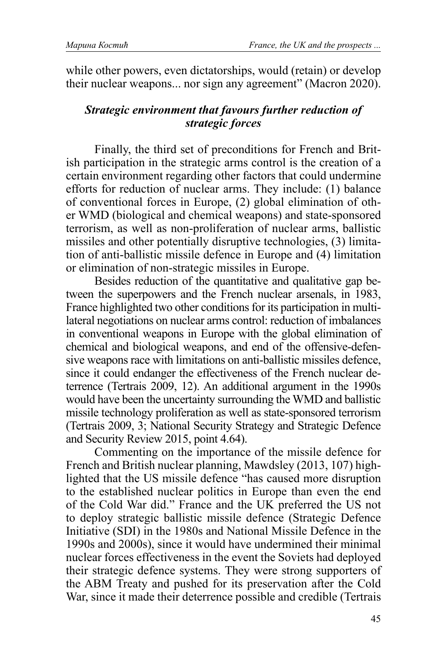while other powers, even dictatorships, would (retain) or develop their nuclear weapons... nor sign any agreement" (Macron 2020).

# *Strategic environment that favours further reduction of strategic forces*

Finally, the third set of preconditions for French and British participation in the strategic arms control is the creation of a certain environment regarding other factors that could undermine efforts for reduction of nuclear arms. They include: (1) balance of conventional forces in Europe, (2) global elimination of other WMD (biological and chemical weapons) and state-sponsored terrorism, as well as non-proliferation of nuclear arms, ballistic missiles and other potentially disruptive technologies, (3) limitation of anti-ballistic missile defence in Europe and (4) limitation or elimination of non-strategic missiles in Europe.

Besides reduction of the quantitative and qualitative gap between the superpowers and the French nuclear arsenals, in 1983, France highlighted two other conditions for its participation in multilateral negotiations on nuclear arms control: reduction of imbalances in conventional weapons in Europe with the global elimination of chemical and biological weapons, and end of the offensive-defensive weapons race with limitations on anti-ballistic missiles defence, since it could endanger the effectiveness of the French nuclear deterrence (Tertrais 2009, 12). An additional argument in the 1990s would have been the uncertainty surrounding the WMD and ballistic missile technology proliferation as well as state-sponsored terrorism (Tertrais 2009, 3; National Security Strategy and Strategic Defence and Security Review 2015, point 4.64).

Commenting on the importance of the missile defence for French and British nuclear planning, Mawdsley (2013, 107) highlighted that the US missile defence "has caused more disruption to the established nuclear politics in Europe than even the end of the Cold War did." France and the UK preferred the US not to deploy strategic ballistic missile defence (Strategic Defence Initiative (SDI) in the 1980s and National Missile Defence in the 1990s and 2000s), since it would have undermined their minimal nuclear forces effectiveness in the event the Soviets had deployed their strategic defence systems. They were strong supporters of the ABM Treaty and pushed for its preservation after the Cold War, since it made their deterrence possible and credible (Tertrais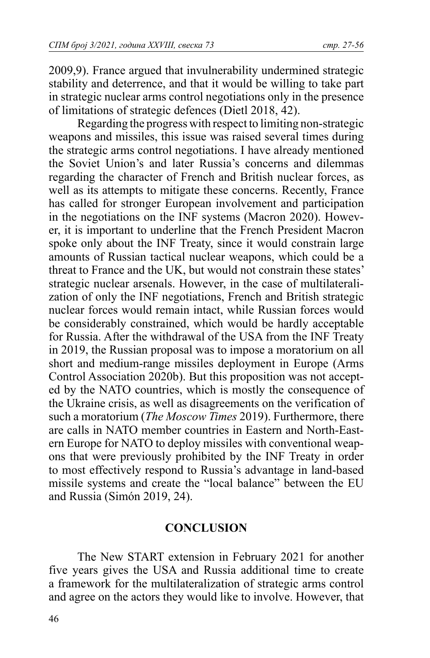2009,9). France argued that invulnerability undermined strategic stability and deterrence, and that it would be willing to take part in strategic nuclear arms control negotiations only in the presence of limitations of strategic defences (Dietl 2018, 42).

Regarding the progress with respect to limiting non-strategic weapons and missiles, this issue was raised several times during the strategic arms control negotiations. I have already mentioned the Soviet Union's and later Russia's concerns and dilemmas regarding the character of French and British nuclear forces, as well as its attempts to mitigate these concerns. Recently, France has called for stronger European involvement and participation in the negotiations on the INF systems (Macron 2020). However, it is important to underline that the French President Macron spoke only about the INF Treaty, since it would constrain large amounts of Russian tactical nuclear weapons, which could be a threat to France and the UK, but would not constrain these states' strategic nuclear arsenals. However, in the case of multilateralization of only the INF negotiations, French and British strategic nuclear forces would remain intact, while Russian forces would be considerably constrained, which would be hardly acceptable for Russia. After the withdrawal of the USA from the INF Treaty in 2019, the Russian proposal was to impose a moratorium on all short and medium-range missiles deployment in Europe (Arms Control Association 2020b). But this proposition was not accepted by the NATO countries, which is mostly the consequence of the Ukraine crisis, as well as disagreements on the verification of such a moratorium (*The Moscow Times* 2019). Furthermore, there are calls in NATO member countries in Eastern and North-Eastern Europe for NATO to deploy missiles with conventional weapons that were previously prohibited by the INF Treaty in order to most effectively respond to Russia's advantage in land-based missile systems and create the "local balance" between the EU and Russia (Simón 2019, 24).

#### **CONCLUSION**

The New START extension in February 2021 for another five years gives the USA and Russia additional time to create a framework for the multilateralization of strategic arms control and agree on the actors they would like to involve. However, that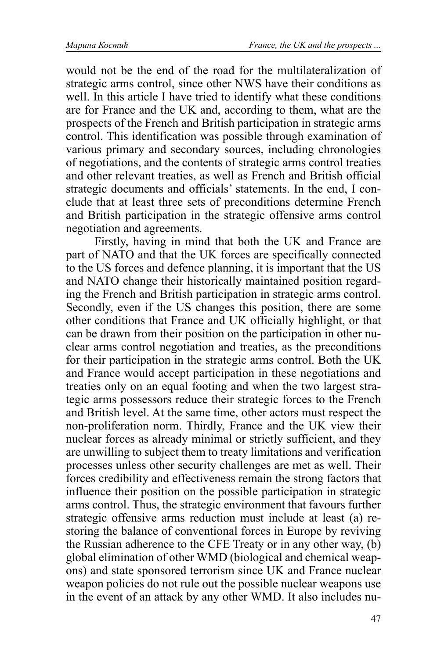would not be the end of the road for the multilateralization of strategic arms control, since other NWS have their conditions as well. In this article I have tried to identify what these conditions are for France and the UK and, according to them, what are the prospects of the French and British participation in strategic arms control. This identification was possible through examination of various primary and secondary sources, including chronologies of negotiations, and the contents of strategic arms control treaties and other relevant treaties, as well as French and British official strategic documents and officials' statements. In the end, I conclude that at least three sets of preconditions determine French and British participation in the strategic offensive arms control negotiation and agreements.

Firstly, having in mind that both the UK and France are part of NATO and that the UK forces are specifically connected to the US forces and defence planning, it is important that the US and NATO change their historically maintained position regarding the French and British participation in strategic arms control. Secondly, even if the US changes this position, there are some other conditions that France and UK officially highlight, or that can be drawn from their position on the participation in other nuclear arms control negotiation and treaties, as the preconditions for their participation in the strategic arms control. Both the UK and France would accept participation in these negotiations and treaties only on an equal footing and when the two largest strategic arms possessors reduce their strategic forces to the French and British level. At the same time, other actors must respect the non-proliferation norm. Thirdly, France and the UK view their nuclear forces as already minimal or strictly sufficient, and they are unwilling to subject them to treaty limitations and verification processes unless other security challenges are met as well. Their forces credibility and effectiveness remain the strong factors that influence their position on the possible participation in strategic arms control. Thus, the strategic environment that favours further strategic offensive arms reduction must include at least (a) restoring the balance of conventional forces in Europe by reviving the Russian adherence to the CFE Treaty or in any other way, (b) global elimination of other WMD (biological and chemical weapons) and state sponsored terrorism since UK and France nuclear weapon policies do not rule out the possible nuclear weapons use in the event of an attack by any other WMD. It also includes nu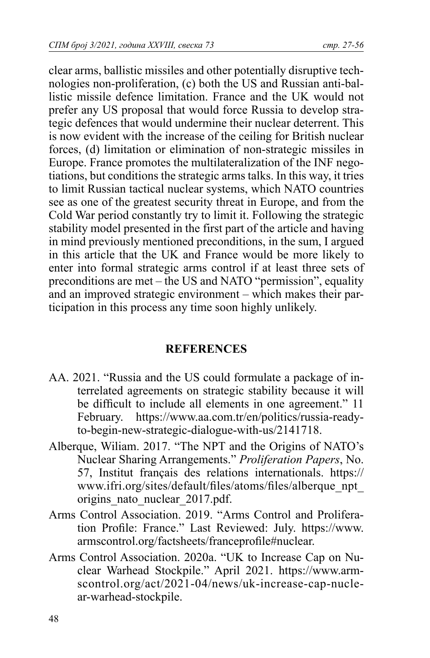clear arms, ballistic missiles and other potentially disruptive technologies non-proliferation, (c) both the US and Russian anti-ballistic missile defence limitation. France and the UK would not prefer any US proposal that would force Russia to develop strategic defences that would undermine their nuclear deterrent. This is now evident with the increase of the ceiling for British nuclear forces, (d) limitation or elimination of non-strategic missiles in Europe. France promotes the multilateralization of the INF negotiations, but conditions the strategic arms talks. In this way, it tries to limit Russian tactical nuclear systems, which NATO countries see as one of the greatest security threat in Europe, and from the Cold War period constantly try to limit it. Following the strategic stability model presented in the first part of the article and having in mind previously mentioned preconditions, in the sum, I argued in this article that the UK and France would be more likely to enter into formal strategic arms control if at least three sets of preconditions are met – the US and NATO "permission", equality and an improved strategic environment – which makes their participation in this process any time soon highly unlikely.

## **REFERENCES**

- AA. 2021. "Russia and the US could formulate a package of interrelated agreements on strategic stability because it will be difficult to include all elements in one agreement." 11 February. https://www.aa.com.tr/en/politics/russia-readyto-begin-new-strategic-dialogue-with-us/2141718.
- Alberque, Wiliam. 2017. "The NPT and the Origins of NATO's Nuclear Sharing Arrangements." *Proliferation Papers*, No. 57, Institut français des relations internationals. https:// www.ifri.org/sites/default/files/atoms/files/alberque\_npt origins nato nuclear 2017.pdf.
- Arms Control Association. 2019. "Arms Control and Proliferation Profile: France." Last Reviewed: July. https://www. armscontrol.org/factsheets/franceprofi le#nuclear.
- Arms Control Association. 2020a. "UK to Increase Cap on Nuclear Warhead Stockpile." April 2021. https://www.armscontrol.org/act/2021-04/news/uk-increase-cap-nuclear-warhead-stockpile.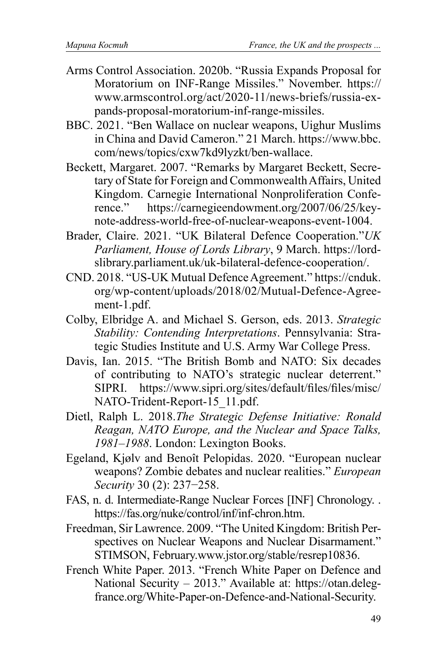- Arms Control Association. 2020b. "Russia Expands Proposal for Moratorium on INF-Range Missiles." November. https:// www.armscontrol.org/act/2020-11/news-briefs/russia-expands-proposal-moratorium-inf-range-missiles.
- BBC. 2021. "Ben Wallace on nuclear weapons, Uighur Muslims in China and David Cameron." 21 March. https://www.bbc. com/news/topics/cxw7kd9lyzkt/ben-wallace.
- Beckett, Margaret. 2007. "Remarks by Margaret Beckett, Secretary of State for Foreign and Commonwealth Affairs, United Kingdom. Carnegie International Nonproliferation Conference." https://carnegieendowment.org/2007/06/25/keynote-address-world-free-of-nuclear-weapons-event-1004.
- Brader, Claire. 2021. "UK Bilateral Defence Cooperation."*UK Parliament, House of Lords Library*, 9 March. https://lordslibrary.parliament.uk/uk-bilateral-defence-cooperation/.
- CND. 2018. "US-UK Mutual Defence Agreement." https://cnduk. org/wp-content/uploads/2018/02/Mutual-Defence-Agreement-1.pdf.
- Colby, Elbridge A. and Michael S. Gerson, eds. 2013. *Strategic Stability: Contending Interpretations*. Pennsylvania: Strategic Studies Institute and U.S. Army War College Press.
- Davis, Ian. 2015. "The British Bomb and NATO: Six decades of contributing to NATO's strategic nuclear deterrent." SIPRI. https://www.sipri.org/sites/default/files/files/misc/ NATO-Trident-Report-15\_11.pdf.
- Dietl, Ralph L. 2018.*The Strategic Defense Initiative: Ronald Reagan, NATO Europe, and the Nuclear and Space Talks, 1981–1988*. London: Lexington Books.
- Egeland, Kjølv and Benoît Pelopidas. 2020. "European nuclear weapons? Zombie debates and nuclear realities." *European Security* 30 (2): 237−258.
- FAS, n. d. Intermediate-Range Nuclear Forces [INF] Chronology. . https://fas.org/nuke/control/inf/inf-chron.htm.
- Freedman, Sir Lawrence. 2009. "The United Kingdom: British Perspectives on Nuclear Weapons and Nuclear Disarmament." STIMSON, February.www.jstor.org/stable/resrep10836.
- French White Paper. 2013. "French White Paper on Defence and National Security – 2013." Available at: https://otan.delegfrance.org/White-Paper-on-Defence-and-National-Security.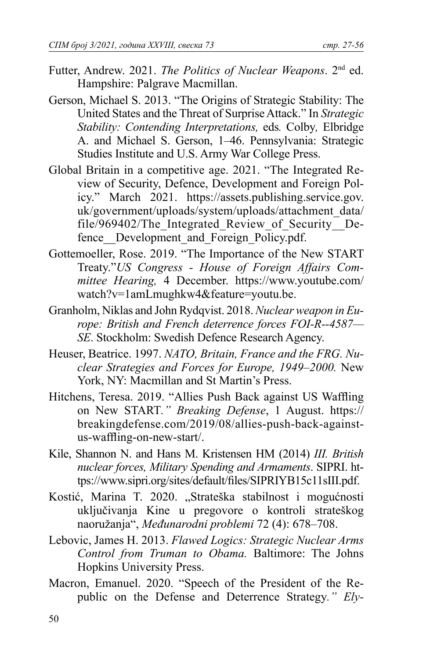- Futter, Andrew. 2021. *The Politics of Nuclear Weapons*. 2nd ed. Hampshire: Palgrave Macmillan.
- Gerson, Michael S. 2013. "The Origins of Strategic Stability: The United States and the Threat of Surprise Attack." In *Strategic Stability: Contending Interpretations,* eds*.* Colby*,* Elbridge A. and Michael S. Gerson, 1–46. Pennsylvania: Strategic Studies Institute and U.S. Army War College Press.
- Global Britain in a competitive age. 2021. "The Integrated Review of Security, Defence, Development and Foreign Policy." March 2021. https://assets.publishing.service.gov. uk/government/uploads/system/uploads/attachment\_data/ file/969402/The Integrated Review of Security Defence Development and Foreign Policy.pdf.
- Gottemoeller, Rose. 2019. "The Importance of the New START Treaty."*US Congress - House of Foreign Affairs Committee Hearing,* 4 December. https://www.youtube.com/ watch?v=1amLmughkw4&feature=youtu.be.
- Granholm, Niklas and John Rydqvist. 2018. *Nuclear weapon in Europe: British and French deterrence forces FOI-R--4587— SE*. Stockholm: Swedish Defence Research Agency.
- Heuser, Beatrice. 1997. *NATO, Britain, France and the FRG. Nuclear Strategies and Forces for Europe, 1949–2000.* New York, NY: Macmillan and St Martin's Press.
- Hitchens, Teresa. 2019. "Allies Push Back against US Waffling on New START*." Breaking Defense*, 1 August. https:// breakingdefense.com/2019/08/allies-push-back-againstus-waffling-on-new-start/.
- Kile, Shannon N. and Hans M. Kristensen HM (2014) *III. British nuclear forces, Military Spending and Armaments*. SIPRI. https://www.sipri.org/sites/default/fi les/SIPRIYB15c11sIII.pdf.
- Kostić, Marina T. 2020. "Strateška stabilnost i mogućnosti uključivanјa Kine u pregovore o kontroli strateškog naoružanјa", *Međunarodni problemi* 72 (4): 678–708.
- Lebovic, James H. 2013. *Flawed Logics: Strategic Nuclear Arms Control from Truman to Obama.* Baltimore: The Johns Hopkins University Press.
- Macron, Emanuel. 2020. "Speech of the President of the Republic on the Defense and Deterrence Strategy*." Ely-*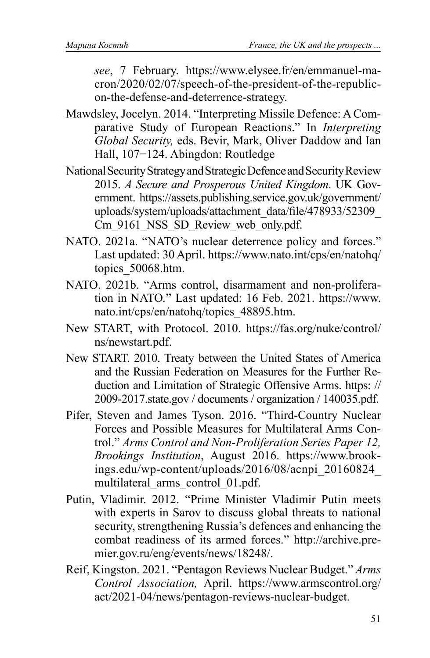*see*, 7 February. https://www.elysee.fr/en/emmanuel-macron/2020/02/07/speech-of-the-president-of-the-republicon-the-defense-and-deterrence-strategy.

- Mawdsley, Jocelyn. 2014. "Interpreting Missile Defence: A Comparative Study of European Reactions." In *Interpreting Global Security,* eds. Bevir, Mark, Oliver Daddow and Ian Hall, 107−124. Abingdon: Routledge
- National Security Strategy and Strategic Defence and Security Review 2015. *A Secure and Prosperous United Kingdom*. UK Government. https://assets.publishing.service.gov.uk/government/ uploads/system/uploads/attachment\_data/file/478933/52309 Cm 9161 NSS SD Review web only.pdf.
- NATO. 2021a. "NATO's nuclear deterrence policy and forces." Last updated: 30 April. https://www.nato.int/cps/en/natohq/ topics 50068.htm.
- NATO. 2021b. "Arms control, disarmament and non-proliferation in NATO*.*" Last updated: 16 Feb. 2021. https://www. nato.int/cps/en/natohq/topics\_48895.htm.
- New START, with Protocol. 2010. https://fas.org/nuke/control/ ns/newstart.pdf.
- New START. 2010. Treaty between the United States of America and the Russian Federation on Measures for the Further Reduction and Limitation of Strategic Offensive Arms. https: // 2009-2017.state.gov / documents / organization / 140035.pdf.
- Pifer, Steven and James Tyson. 2016. "Third-Country Nuclear Forces and Possible Measures for Multilateral Arms Control." *Arms Control and Non-Proliferation Series Paper 12, Brookings Institution*, August 2016. https://www.brookings.edu/wp-content/uploads/2016/08/acnpi\_20160824\_ multilateral\_arms\_control\_01.pdf.
- Putin, Vladimir. 2012. "Prime Minister Vladimir Putin meets with experts in Sarov to discuss global threats to national security, strengthening Russia's defences and enhancing the combat readiness of its armed forces." http://archive.premier.gov.ru/eng/events/news/18248/.
- Reif, Kingston. 2021. "Pentagon Reviews Nuclear Budget." *Arms Control Association,* April. https://www.armscontrol.org/ act/2021-04/news/pentagon-reviews-nuclear-budget.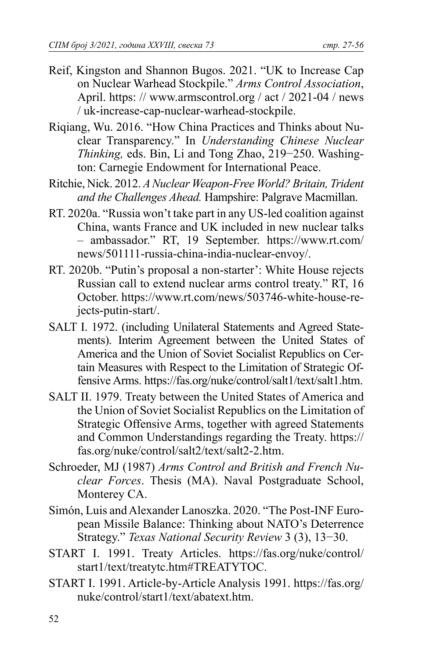- Reif, Kingston and Shannon Bugos. 2021. "UK to Increase Cap on Nuclear Warhead Stockpile." *Arms Control Association*, April. https: // www.armscontrol.org / act / 2021-04 / news / uk-increase-cap-nuclear-warhead-stockpile.
- Riqiang, Wu. 2016. "How China Practices and Thinks about Nuclear Transparency." In *Understanding Chinese Nuclear Thinking,* eds. Bin, Li and Tong Zhao, 219−250. Washington: Carnegie Endowment for International Peace.
- Ritchie, Nick. 2012. *A Nuclear Weapon-Free World? Britain, Trident and the Challenges Ahead.* Hampshire: Palgrave Macmillan.
- RT. 2020a. "Russia won't take part in any US-led coalition against China, wants France and UK included in new nuclear talks – ambassador." RT, 19 September. https://www.rt.com/ news/501111-russia-china-india-nuclear-envoy/.
- RT. 2020b. "Putin's proposal a non-starter': White House rejects Russian call to extend nuclear arms control treaty." RT, 16 October. https://www.rt.com/news/503746-white-house-rejects-putin-start/.
- SALT I. 1972. (including Unilateral Statements and Agreed Statements). Interim Agreement between the United States of America and the Union of Soviet Socialist Republics on Certain Measures with Respect to the Limitation of Strategic Offensive Arms. https://fas.org/nuke/control/salt1/text/salt1.htm.
- SALT II. 1979. Treaty between the United States of America and the Union of Soviet Socialist Republics on the Limitation of Strategic Offensive Arms, together with agreed Statements and Common Understandings regarding the Treaty. https:// fas.org/nuke/control/salt2/text/salt2-2.htm.
- Schroeder, MJ (1987) *Arms Control and British and French Nuclear Forces*. Thesis (MA). Naval Postgraduate School, Monterey CA.
- Simón, Luis and Alexander Lanoszka. 2020. "The Post-INF European Missile Balance: Thinking about NATO's Deterrence Strategy." *Texas National Security Review* 3 (3), 13−30.
- START I. 1991. Treaty Articles. https://fas.org/nuke/control/ start1/text/treatytc.htm#TREATYTOC.
- START I. 1991. Article-by-Article Analysis 1991. https://fas.org/ nuke/control/start1/text/abatext.htm.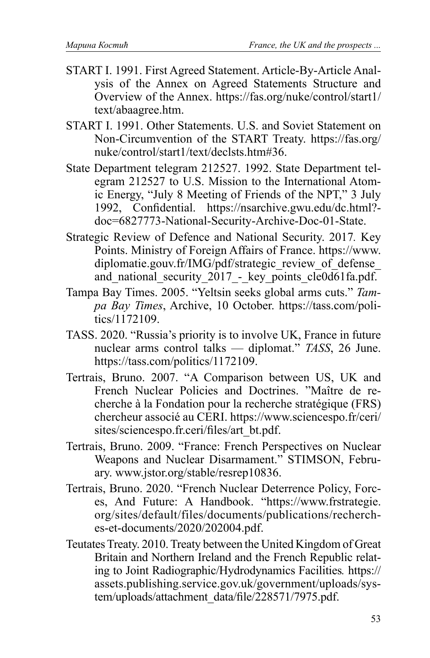- START I. 1991. First Agreed Statement. Article-By-Article Analysis of the Annex on Agreed Statements Structure and Overview of the Annex. https://fas.org/nuke/control/start1/ text/abaagree.htm.
- START I. 1991. Other Statements. U.S. and Soviet Statement on Non-Circumvention of the START Treaty. https://fas.org/ nuke/control/start1/text/declsts.htm#36.
- State Department telegram 212527. 1992. State Department telegram 212527 to U.S. Mission to the International Atomic Energy, "July 8 Meeting of Friends of the NPT," 3 July 1992, Confidential. https://nsarchive.gwu.edu/dc.html?doc=6827773-National-Security-Archive-Doc-01-State.
- Strategic Review of Defence and National Security. 2017*.* Key Points. Ministry of Foreign Affairs of France. https://www. diplomatie.gouv.fr/IMG/pdf/strategic\_review\_of\_defense and national security 2017 - key points cle0d61fa.pdf.
- Tampa Bay Times. 2005. "Yeltsin seeks global arms cuts." *Tampa Bay Times*, Archive, 10 October. https://tass.com/politics/1172109.
- TASS. 2020. "Russia's priority is to involve UK, France in future nuclear arms control talks — diplomat." *TASS*, 26 June. https://tass.com/politics/1172109.
- Tertrais, Bruno. 2007. "A Comparison between US, UK and French Nuclear Policies and Doctrines. "Maître de recherche à la Fondation pour la recherche stratégique (FRS) chercheur associé au CERI. https://www.sciencespo.fr/ceri/ sites/sciencespo.fr.ceri/files/art\_bt.pdf.
- Tertrais, Bruno. 2009. "France: French Perspectives on Nuclear Weapons and Nuclear Disarmament." STIMSON, February. www.jstor.org/stable/resrep10836.
- Tertrais, Bruno. 2020. "French Nuclear Deterrence Policy, Forces, And Future: A Handbook. "https://www.frstrategie. org/sites/default/files/documents/publications/recherches-et-documents/2020/202004.pdf.
- Teutates Treaty. 2010. Treaty between the United Kingdom of Great Britain and Northern Ireland and the French Republic relating to Joint Radiographic/Hydrodynamics Facilities*.* https:// assets.publishing.service.gov.uk/government/uploads/system/uploads/attachment\_data/file/228571/7975.pdf.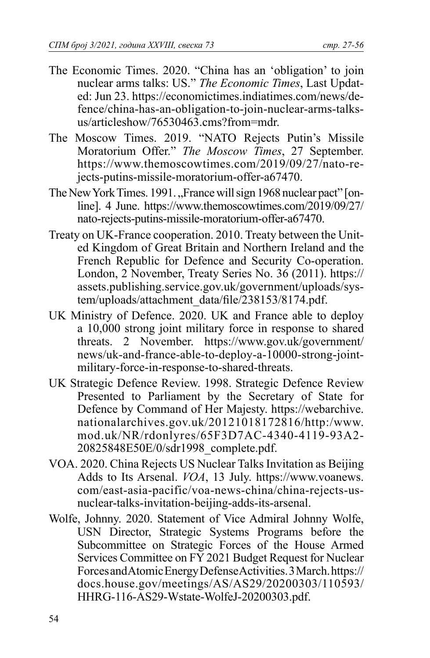- The Economic Times. 2020. "China has an 'obligation' to join nuclear arms talks: US." *The Economic Times*, Last Updated: Jun 23. https://economictimes.indiatimes.com/news/defence/china-has-an-obligation-to-join-nuclear-arms-talksus/articleshow/76530463 cms?from=mdr
- The Moscow Times. 2019. "NATO Rejects Putin's Missile Moratorium Offer." *The Moscow Times*, 27 September. https://www.themoscowtimes.com/2019/09/27/nato-rejects-putins-missile-moratorium-offer-a67470.
- The New York Times. 1991. "France will sign 1968 nuclear pact" [online]. 4 June. https://www.themoscowtimes.com/2019/09/27/ nato-rejects-putins-missile-moratorium-offer-a67470.
- Treaty on UK-France cooperation. 2010. Treaty between the United Kingdom of Great Britain and Northern Ireland and the French Republic for Defence and Security Co-operation. London, 2 November, Treaty Series No. 36 (2011). https:// assets.publishing.service.gov.uk/government/uploads/system/uploads/attachment\_data/file/238153/8174.pdf.
- UK Ministry of Defence. 2020. UK and France able to deploy a 10,000 strong joint military force in response to shared threats. 2 November. https://www.gov.uk/government/ news/uk-and-france-able-to-deploy-a-10000-strong-jointmilitary-force-in-response-to-shared-threats.
- UK Strategic Defence Review. 1998. Strategic Defence Review Presented to Parliament by the Secretary of State for Defence by Command of Her Majesty. https://webarchive. nationalarchives.gov.uk/20121018172816/http:/www. mod.uk/NR/rdonlyres/65F3D7AC-4340-4119-93A2- 20825848E50E/0/sdr1998\_complete.pdf.
- VOA. 2020. China Rejects US Nuclear Talks Invitation as Beijing Adds to Its Arsenal. *VOA*, 13 July. https://www.voanews. com/east-asia-pacific/voa-news-china/china-rejects-usnuclear-talks-invitation-beijing-adds-its-arsenal.
- Wolfe, Johnny. 2020. Statement of Vice Admiral Johnny Wolfe, USN Director, Strategic Systems Programs before the Subcommittee on Strategic Forces of the House Armed Services Committee on FY 2021 Budget Request for Nuclear Forces and Atomic Energy Defense Activities. 3 March. https:// docs.house.gov/meetings/AS/AS29/20200303/110593/ HHRG-116-AS29-Wstate-WolfeJ-20200303.pdf.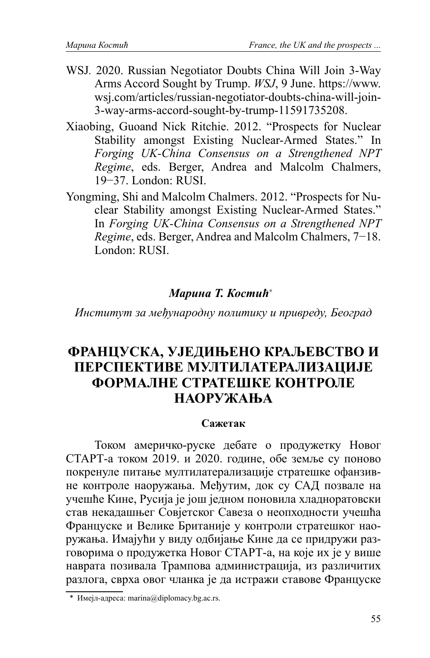- WSJ*.* 2020. Russian Negotiator Doubts China Will Join 3-Way Arms Accord Sought by Trump. *WSJ*, 9 June. https://www. wsj.com/articles/russian-negotiator-doubts-china-will-join-3-way-arms-accord-sought-by-trump-11591735208.
- Xiaobing, Guoand Nick Ritchie. 2012. "Prospects for Nuclear Stability amongst Existing Nuclear-Armed States." In *Forging UK-China Consensus on a Strengthened NPT Regime*, eds. Berger, Andrea and Malcolm Chalmers, 19−37. London: RUSI.
- Yongming, Shi and Malcolm Chalmers. 2012. "Prospects for Nuclear Stability amongst Existing Nuclear-Armed States." In *Forging UK-China Consensus on a Strengthened NPT Regime*, eds. Berger, Andrea and Malcolm Chalmers, 7−18. London: RUSI.

# *Марина Т. Костић*<sup>∗</sup>

*Институт за међународну политику и привреду, Београд*

# **ФРАНЦУСКА, УЈЕДИЊЕНО КРАЉЕВСТВО И ПЕРСПЕКТИВЕ МУЛТИЛАТЕРАЛИЗАЦИЈЕ ФОРМАЛНЕ СТРАТЕШКЕ КОНТРОЛЕ НАОРУЖАЊА**

#### **Сажетак**

Током америчко-руске дебате о продужетку Новог СТАРТ-а током 2019. и 2020. године, обе земље су поново покренуле питање мултилатерализације стратешке офанзивне контроле наоружања. Међутим, док су САД позвале на учешће Кине, Русија је још једном поновила хладноратовски став некадашњег Совјетског Савеза о неопходности учешћа Француске и Велике Британије у контроли стратешког наоружања. Имајући у виду одбијање Кине да се придружи разговорима о продужетка Новог СТАРТ-а, на које их је у више наврата позивала Трампова администрација, из различитих разлога, сврха овог чланка је да истражи ставове Француске

 <sup>\*</sup> Имејл-адреса: marina@diplomacy.bg.ac.rs.